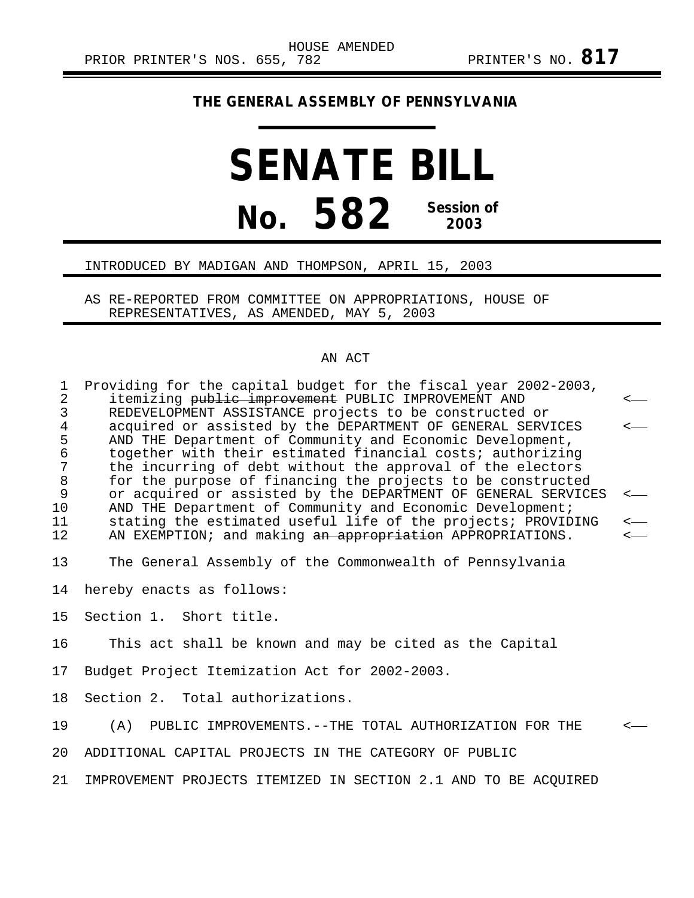## **THE GENERAL ASSEMBLY OF PENNSYLVANIA**

## **SENATE BILL No. 582 Session of 2003**

## INTRODUCED BY MADIGAN AND THOMPSON, APRIL 15, 2003

AS RE-REPORTED FROM COMMITTEE ON APPROPRIATIONS, HOUSE OF REPRESENTATIVES, AS AMENDED, MAY 5, 2003

## AN ACT

| $\mathbf{1}$                                                    | Providing for the capital budget for the fiscal year 2002-2003,                                                                                                                                                                                                                                                                                                                                                                                                                                                                                                               |                                                      |
|-----------------------------------------------------------------|-------------------------------------------------------------------------------------------------------------------------------------------------------------------------------------------------------------------------------------------------------------------------------------------------------------------------------------------------------------------------------------------------------------------------------------------------------------------------------------------------------------------------------------------------------------------------------|------------------------------------------------------|
| $\overline{2}$<br>$\mathfrak{Z}$                                | itemizing <del>public improvement</del> PUBLIC IMPROVEMENT AND<br>REDEVELOPMENT ASSISTANCE projects to be constructed or                                                                                                                                                                                                                                                                                                                                                                                                                                                      | $\longleftarrow$                                     |
| $\,4$<br>5<br>$\epsilon$<br>7<br>$\,8\,$<br>9<br>10<br>11<br>12 | acquired or assisted by the DEPARTMENT OF GENERAL SERVICES<br>AND THE Department of Community and Economic Development,<br>together with their estimated financial costs; authorizing<br>the incurring of debt without the approval of the electors<br>for the purpose of financing the projects to be constructed<br>or acquired or assisted by the DEPARTMENT OF GENERAL SERVICES<br>AND THE Department of Community and Economic Development;<br>stating the estimated useful life of the projects; PROVIDING<br>AN EXEMPTION; and making an appropriation APPROPRIATIONS. | $\longleftarrow$<br>$\leftarrow$<br>$\longleftarrow$ |
| 13                                                              | The General Assembly of the Commonwealth of Pennsylvania                                                                                                                                                                                                                                                                                                                                                                                                                                                                                                                      |                                                      |
| 14                                                              | hereby enacts as follows:                                                                                                                                                                                                                                                                                                                                                                                                                                                                                                                                                     |                                                      |
| 15                                                              | Section 1. Short title.                                                                                                                                                                                                                                                                                                                                                                                                                                                                                                                                                       |                                                      |
| 16                                                              | This act shall be known and may be cited as the Capital                                                                                                                                                                                                                                                                                                                                                                                                                                                                                                                       |                                                      |
| 17                                                              | Budget Project Itemization Act for 2002-2003.                                                                                                                                                                                                                                                                                                                                                                                                                                                                                                                                 |                                                      |
| 18                                                              | Section 2. Total authorizations.                                                                                                                                                                                                                                                                                                                                                                                                                                                                                                                                              |                                                      |
| 19                                                              | PUBLIC IMPROVEMENTS. -- THE TOTAL AUTHORIZATION FOR THE<br>(A)                                                                                                                                                                                                                                                                                                                                                                                                                                                                                                                |                                                      |
| 20                                                              | ADDITIONAL CAPITAL PROJECTS IN THE CATEGORY OF PUBLIC                                                                                                                                                                                                                                                                                                                                                                                                                                                                                                                         |                                                      |
| 21                                                              | IMPROVEMENT PROJECTS ITEMIZED IN SECTION 2.1 AND TO BE ACOUIRED                                                                                                                                                                                                                                                                                                                                                                                                                                                                                                               |                                                      |
|                                                                 |                                                                                                                                                                                                                                                                                                                                                                                                                                                                                                                                                                               |                                                      |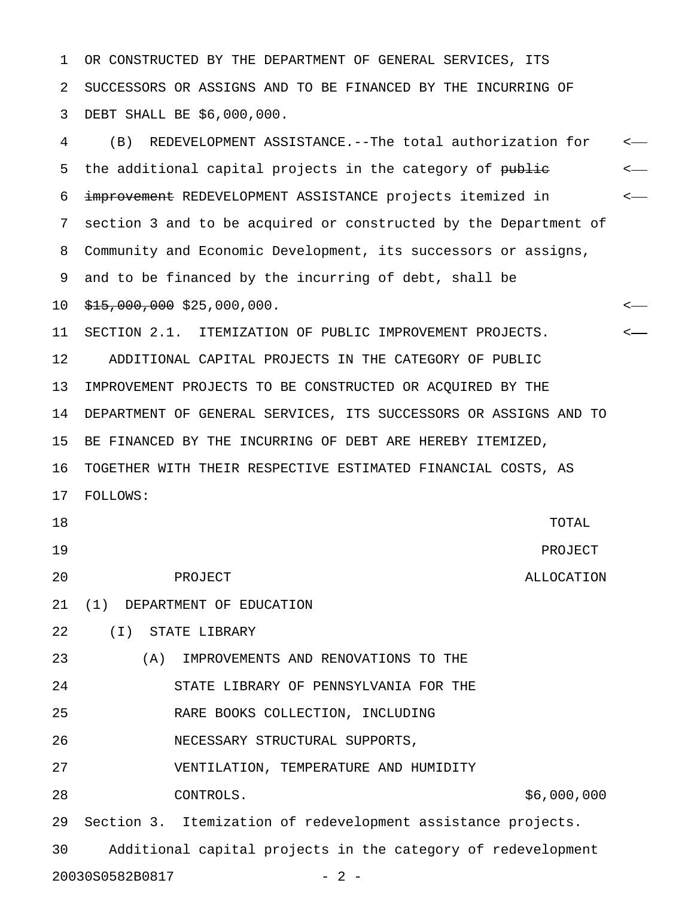1 OR CONSTRUCTED BY THE DEPARTMENT OF GENERAL SERVICES, ITS 2 SUCCESSORS OR ASSIGNS AND TO BE FINANCED BY THE INCURRING OF 3 DEBT SHALL BE \$6,000,000.

4 (B) REDEVELOPMENT ASSISTANCE.--The total authorization for < 5 the additional capital projects in the category of public  $\leftarrow$ 6 improvement REDEVELOPMENT ASSISTANCE projects itemized in  $\leftarrow$ 7 section 3 and to be acquired or constructed by the Department of 8 Community and Economic Development, its successors or assigns, 9 and to be financed by the incurring of debt, shall be 10  $\frac{15}{15}$ , 000, 000 \$25, 000, 000. 11 SECTION 2.1. ITEMIZATION OF PUBLIC IMPROVEMENT PROJECTS. < 12 ADDITIONAL CAPITAL PROJECTS IN THE CATEGORY OF PUBLIC 13 IMPROVEMENT PROJECTS TO BE CONSTRUCTED OR ACQUIRED BY THE 14 DEPARTMENT OF GENERAL SERVICES, ITS SUCCESSORS OR ASSIGNS AND TO 15 BE FINANCED BY THE INCURRING OF DEBT ARE HEREBY ITEMIZED, 16 TOGETHER WITH THEIR RESPECTIVE ESTIMATED FINANCIAL COSTS, AS 17 FOLLOWS: 18 TOTAL 19 PROJECT 20 PROJECT ALLOCATION 21 (1) DEPARTMENT OF EDUCATION 22 (I) STATE LIBRARY 23 (A) IMPROVEMENTS AND RENOVATIONS TO THE 24 STATE LIBRARY OF PENNSYLVANIA FOR THE 25 RARE BOOKS COLLECTION, INCLUDING 26 NECESSARY STRUCTURAL SUPPORTS, 27 VENTILATION, TEMPERATURE AND HUMIDITY 28 CONTROLS. \$6,000,000 29 Section 3. Itemization of redevelopment assistance projects. 30 Additional capital projects in the category of redevelopment 20030S0582B0817 - 2 -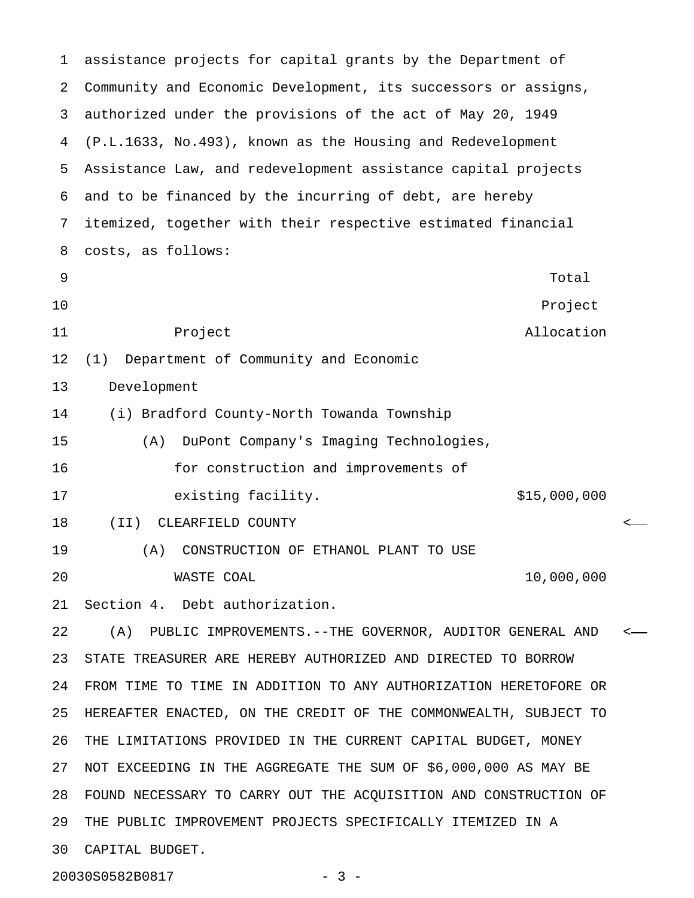1 assistance projects for capital grants by the Department of 2 Community and Economic Development, its successors or assigns, 3 authorized under the provisions of the act of May 20, 1949 4 (P.L.1633, No.493), known as the Housing and Redevelopment 5 Assistance Law, and redevelopment assistance capital projects 6 and to be financed by the incurring of debt, are hereby 7 itemized, together with their respective estimated financial 8 costs, as follows: extending the state of the state of the state of the state of the state of the state of the state of the state of the state of the state of the state of the state of the state of the state of the state of the state of the 10 Project 11 **Project Profect Allocation** 12 (1) Department of Community and Economic 13 Development 14 (i) Bradford County-North Towanda Township 15 (A) DuPont Company's Imaging Technologies, 16 for construction and improvements of 17 existing facility. The same state of the set of the set of the set of the set of the set of the set of the s 18 (II) CLEARFIELD COUNTY < 19 (A) CONSTRUCTION OF ETHANOL PLANT TO USE 20 WASTE COAL 10,000,000 21 Section 4. Debt authorization. 22 (A) PUBLIC IMPROVEMENTS.--THE GOVERNOR, AUDITOR GENERAL AND < 23 STATE TREASURER ARE HEREBY AUTHORIZED AND DIRECTED TO BORROW 24 FROM TIME TO TIME IN ADDITION TO ANY AUTHORIZATION HERETOFORE OR 25 HEREAFTER ENACTED, ON THE CREDIT OF THE COMMONWEALTH, SUBJECT TO 26 THE LIMITATIONS PROVIDED IN THE CURRENT CAPITAL BUDGET, MONEY 27 NOT EXCEEDING IN THE AGGREGATE THE SUM OF \$6,000,000 AS MAY BE 28 FOUND NECESSARY TO CARRY OUT THE ACQUISITION AND CONSTRUCTION OF 29 THE PUBLIC IMPROVEMENT PROJECTS SPECIFICALLY ITEMIZED IN A 30 CAPITAL BUDGET.

20030S0582B0817 - 3 -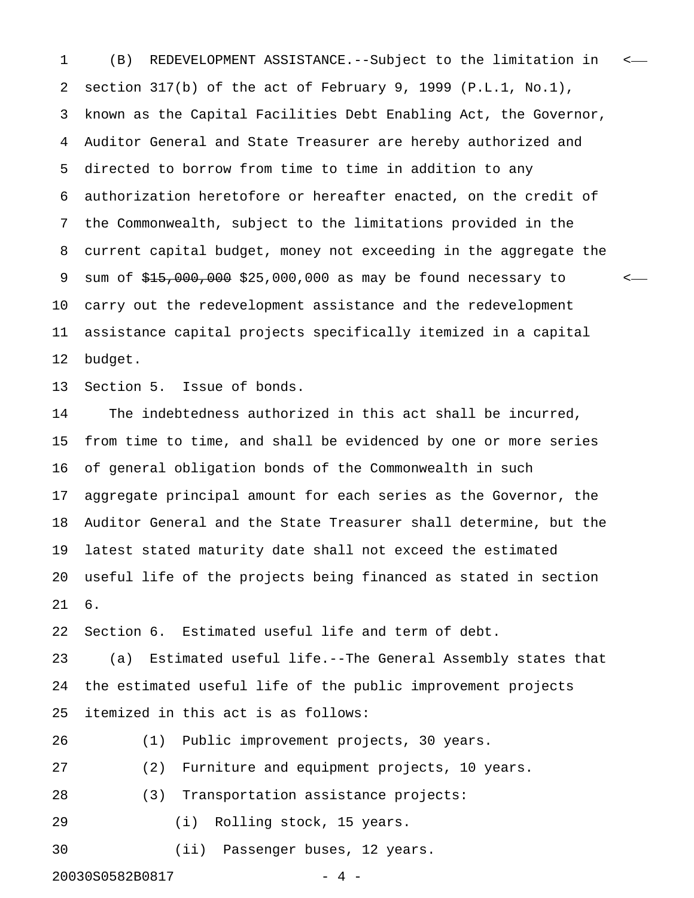1 (B) REDEVELOPMENT ASSISTANCE.--Subject to the limitation in < 2 section 317(b) of the act of February 9, 1999 (P.L.1, No.1), 3 known as the Capital Facilities Debt Enabling Act, the Governor, 4 Auditor General and State Treasurer are hereby authorized and 5 directed to borrow from time to time in addition to any 6 authorization heretofore or hereafter enacted, on the credit of 7 the Commonwealth, subject to the limitations provided in the 8 current capital budget, money not exceeding in the aggregate the 9 sum of  $\frac{215,000,000}{2}$  \$25,000,000 as may be found necessary to  $\leftarrow$ 10 carry out the redevelopment assistance and the redevelopment 11 assistance capital projects specifically itemized in a capital 12 budget.

13 Section 5. Issue of bonds.

14 The indebtedness authorized in this act shall be incurred, 15 from time to time, and shall be evidenced by one or more series 16 of general obligation bonds of the Commonwealth in such 17 aggregate principal amount for each series as the Governor, the 18 Auditor General and the State Treasurer shall determine, but the 19 latest stated maturity date shall not exceed the estimated 20 useful life of the projects being financed as stated in section 21 6.

22 Section 6. Estimated useful life and term of debt.

23 (a) Estimated useful life.--The General Assembly states that 24 the estimated useful life of the public improvement projects 25 itemized in this act is as follows:

26 (1) Public improvement projects, 30 years.

27 (2) Furniture and equipment projects, 10 years.

28 (3) Transportation assistance projects:

29 (i) Rolling stock, 15 years.

30 (ii) Passenger buses, 12 years.

20030S0582B0817 - 4 -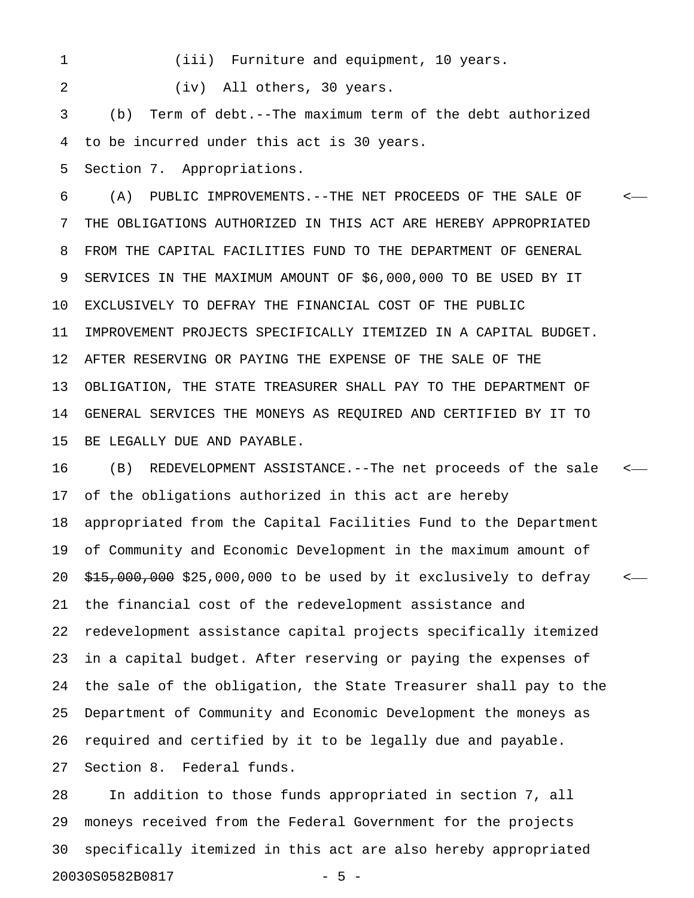1 (iii) Furniture and equipment, 10 years.

2 (iv) All others, 30 years.

3 (b) Term of debt.--The maximum term of the debt authorized 4 to be incurred under this act is 30 years.

5 Section 7. Appropriations.

6 (A) PUBLIC IMPROVEMENTS.--THE NET PROCEEDS OF THE SALE OF < 7 THE OBLIGATIONS AUTHORIZED IN THIS ACT ARE HEREBY APPROPRIATED 8 FROM THE CAPITAL FACILITIES FUND TO THE DEPARTMENT OF GENERAL 9 SERVICES IN THE MAXIMUM AMOUNT OF \$6,000,000 TO BE USED BY IT 10 EXCLUSIVELY TO DEFRAY THE FINANCIAL COST OF THE PUBLIC 11 IMPROVEMENT PROJECTS SPECIFICALLY ITEMIZED IN A CAPITAL BUDGET. 12 AFTER RESERVING OR PAYING THE EXPENSE OF THE SALE OF THE 13 OBLIGATION, THE STATE TREASURER SHALL PAY TO THE DEPARTMENT OF 14 GENERAL SERVICES THE MONEYS AS REQUIRED AND CERTIFIED BY IT TO 15 BE LEGALLY DUE AND PAYABLE.

16 (B) REDEVELOPMENT ASSISTANCE.--The net proceeds of the sale < 17 of the obligations authorized in this act are hereby 18 appropriated from the Capital Facilities Fund to the Department 19 of Community and Economic Development in the maximum amount of 20  $\frac{15}{15}$ , 000, 000, 000 to be used by it exclusively to defray  $\leq$ 21 the financial cost of the redevelopment assistance and 22 redevelopment assistance capital projects specifically itemized 23 in a capital budget. After reserving or paying the expenses of 24 the sale of the obligation, the State Treasurer shall pay to the 25 Department of Community and Economic Development the moneys as 26 required and certified by it to be legally due and payable. 27 Section 8. Federal funds.

28 In addition to those funds appropriated in section 7, all 29 moneys received from the Federal Government for the projects 30 specifically itemized in this act are also hereby appropriated 20030S0582B0817 - 5 -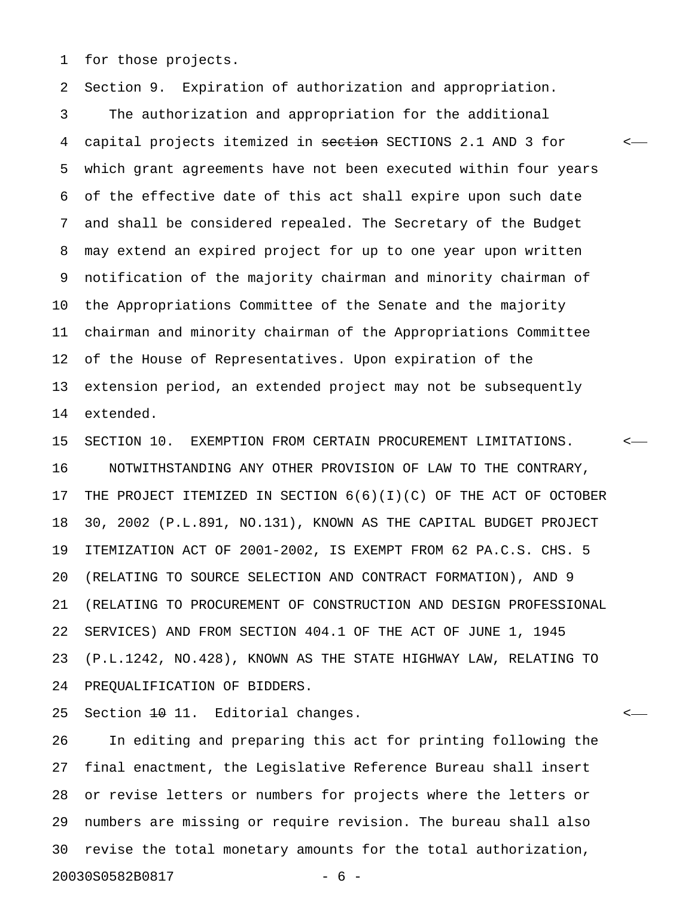1 for those projects.

2 Section 9. Expiration of authorization and appropriation.

3 The authorization and appropriation for the additional 4 capital projects itemized in section SECTIONS 2.1 AND 3 for  $\sim$ 5 which grant agreements have not been executed within four years 6 of the effective date of this act shall expire upon such date 7 and shall be considered repealed. The Secretary of the Budget 8 may extend an expired project for up to one year upon written 9 notification of the majority chairman and minority chairman of 10 the Appropriations Committee of the Senate and the majority 11 chairman and minority chairman of the Appropriations Committee 12 of the House of Representatives. Upon expiration of the 13 extension period, an extended project may not be subsequently 14 extended.

15 SECTION 10. EXEMPTION FROM CERTAIN PROCUREMENT LIMITATIONS. < 16 NOTWITHSTANDING ANY OTHER PROVISION OF LAW TO THE CONTRARY, 17 THE PROJECT ITEMIZED IN SECTION 6(6)(I)(C) OF THE ACT OF OCTOBER 18 30, 2002 (P.L.891, NO.131), KNOWN AS THE CAPITAL BUDGET PROJECT 19 ITEMIZATION ACT OF 2001-2002, IS EXEMPT FROM 62 PA.C.S. CHS. 5 20 (RELATING TO SOURCE SELECTION AND CONTRACT FORMATION), AND 9 21 (RELATING TO PROCUREMENT OF CONSTRUCTION AND DESIGN PROFESSIONAL 22 SERVICES) AND FROM SECTION 404.1 OF THE ACT OF JUNE 1, 1945 23 (P.L.1242, NO.428), KNOWN AS THE STATE HIGHWAY LAW, RELATING TO 24 PREQUALIFICATION OF BIDDERS.

25 Section <del>10</del> 11. Editorial changes.

26 In editing and preparing this act for printing following the 27 final enactment, the Legislative Reference Bureau shall insert 28 or revise letters or numbers for projects where the letters or 29 numbers are missing or require revision. The bureau shall also 30 revise the total monetary amounts for the total authorization, 20030S0582B0817 - 6 -